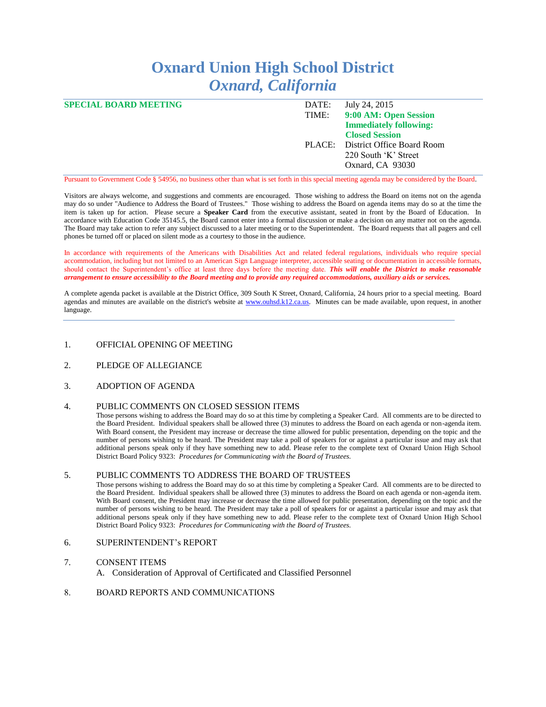## **Oxnard Union High School District** *Oxnard, California*

| <b>SPECIAL BOARD MEETING</b> | DATE: | July 24, 2015                     |
|------------------------------|-------|-----------------------------------|
|                              | TIME: | 9:00 AM: Open Session             |
|                              |       | <b>Immediately following:</b>     |
|                              |       | <b>Closed Session</b>             |
|                              |       | PLACE: District Office Board Room |
|                              |       | 220 South 'K' Street              |
|                              |       | Oxnard, CA 93030                  |
|                              |       |                                   |

Pursuant to Government Code § 54956, no business other than what is set forth in this special meeting agenda may be considered by the Board.

Visitors are always welcome, and suggestions and comments are encouraged. Those wishing to address the Board on items not on the agenda may do so under "Audience to Address the Board of Trustees." Those wishing to address the Board on agenda items may do so at the time the item is taken up for action. Please secure a **Speaker Card** from the executive assistant, seated in front by the Board of Education. In accordance with Education Code 35145.5, the Board cannot enter into a formal discussion or make a decision on any matter not on the agenda. The Board may take action to refer any subject discussed to a later meeting or to the Superintendent. The Board requests that all pagers and cell phones be turned off or placed on silent mode as a courtesy to those in the audience.

In accordance with requirements of the Americans with Disabilities Act and related federal regulations, individuals who require special accommodation, including but not limited to an American Sign Language interpreter, accessible seating or documentation in accessible formats, should contact the Superintendent's office at least three days before the meeting date. *This will enable the District to make reasonable arrangement to ensure accessibility to the Board meeting and to provide any required accommodations, auxiliary aids or services.*

A complete agenda packet is available at the District Office, 309 South K Street, Oxnard, California, 24 hours prior to a special meeting. Board agendas and minutes are available on the district's website at [www.ouhsd.k12.ca.us.](http://www.ouhsd.k12.ca.us/) Minutes can be made available, upon request, in another language.

- 1. OFFICIAL OPENING OF MEETING
- 2. PLEDGE OF ALLEGIANCE
- 3. ADOPTION OF AGENDA

## 4. PUBLIC COMMENTS ON CLOSED SESSION ITEMS

Those persons wishing to address the Board may do so at this time by completing a Speaker Card. All comments are to be directed to the Board President. Individual speakers shall be allowed three (3) minutes to address the Board on each agenda or non-agenda item. With Board consent, the President may increase or decrease the time allowed for public presentation, depending on the topic and the number of persons wishing to be heard. The President may take a poll of speakers for or against a particular issue and may ask that additional persons speak only if they have something new to add. Please refer to the complete text of Oxnard Union High School District Board Policy 9323: *Procedures for Communicating with the Board of Trustees.*

## 5. PUBLIC COMMENTS TO ADDRESS THE BOARD OF TRUSTEES

Those persons wishing to address the Board may do so at this time by completing a Speaker Card. All comments are to be directed to the Board President. Individual speakers shall be allowed three (3) minutes to address the Board on each agenda or non-agenda item. With Board consent, the President may increase or decrease the time allowed for public presentation, depending on the topic and the number of persons wishing to be heard. The President may take a poll of speakers for or against a particular issue and may ask that additional persons speak only if they have something new to add. Please refer to the complete text of Oxnard Union High School District Board Policy 9323: *Procedures for Communicating with the Board of Trustees.*

6. SUPERINTENDENT's REPORT

## 7. CONSENT ITEMS

- A. Consideration of Approval of Certificated and Classified Personnel
- 8. BOARD REPORTS AND COMMUNICATIONS